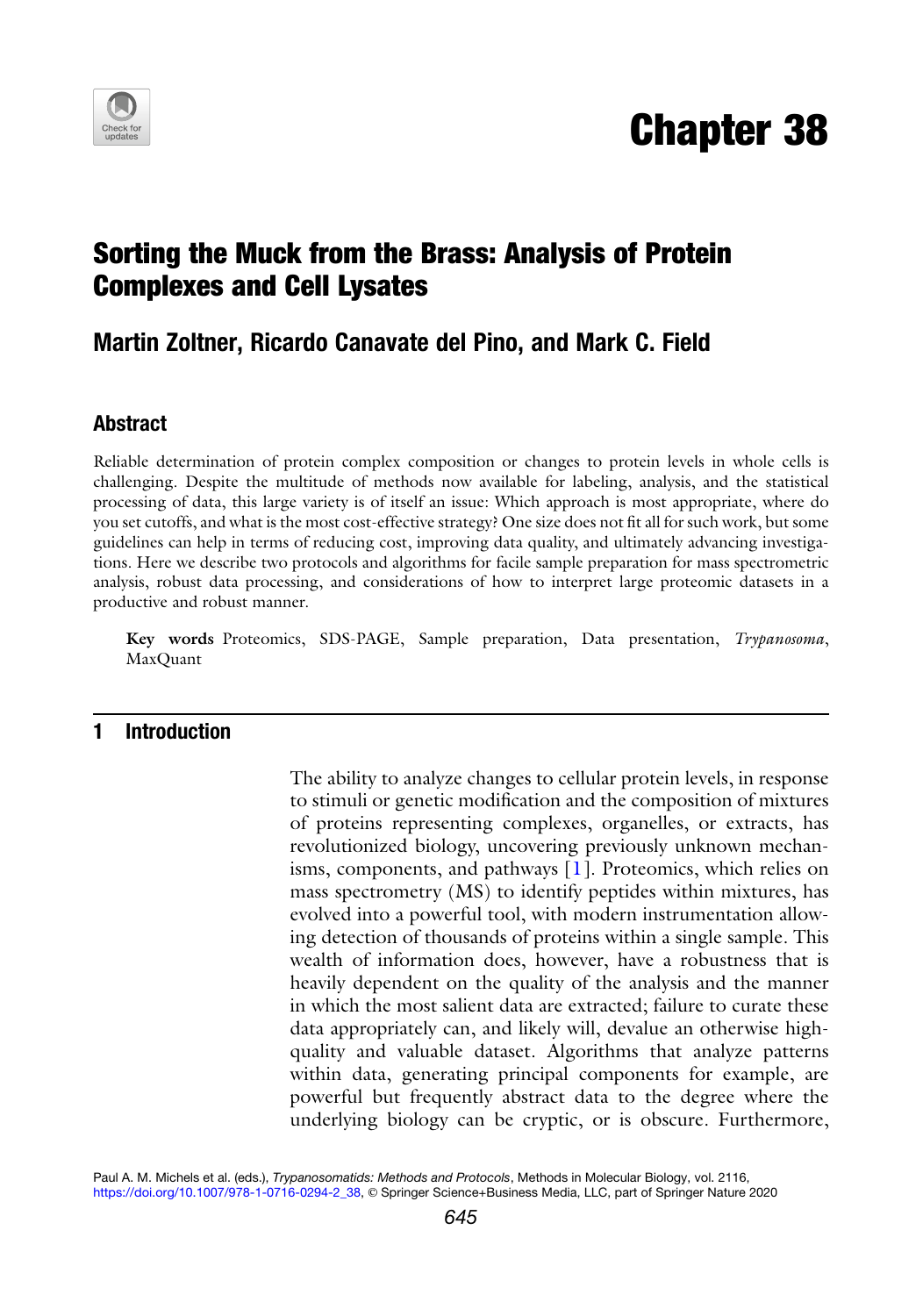

# Chapter 38

# Sorting the Muck from the Brass: Analysis of Protein Complexes and Cell Lysates

# Martin Zoltner, Ricardo Canavate del Pino, and Mark C. Field

# Abstract

Reliable determination of protein complex composition or changes to protein levels in whole cells is challenging. Despite the multitude of methods now available for labeling, analysis, and the statistical processing of data, this large variety is of itself an issue: Which approach is most appropriate, where do you set cutoffs, and what is the most cost-effective strategy? One size does not fit all for such work, but some guidelines can help in terms of reducing cost, improving data quality, and ultimately advancing investigations. Here we describe two protocols and algorithms for facile sample preparation for mass spectrometric analysis, robust data processing, and considerations of how to interpret large proteomic datasets in a productive and robust manner.

Key words Proteomics, SDS-PAGE, Sample preparation, Data presentation, Trypanosoma, MaxQuant

# 1 Introduction

The ability to analyze changes to cellular protein levels, in response to stimuli or genetic modification and the composition of mixtures of proteins representing complexes, organelles, or extracts, has revolutionized biology, uncovering previously unknown mechanisms, components, and pathways [[1\]](#page-8-0). Proteomics, which relies on mass spectrometry (MS) to identify peptides within mixtures, has evolved into a powerful tool, with modern instrumentation allowing detection of thousands of proteins within a single sample. This wealth of information does, however, have a robustness that is heavily dependent on the quality of the analysis and the manner in which the most salient data are extracted; failure to curate these data appropriately can, and likely will, devalue an otherwise highquality and valuable dataset. Algorithms that analyze patterns within data, generating principal components for example, are powerful but frequently abstract data to the degree where the underlying biology can be cryptic, or is obscure. Furthermore,

Paul A. M. Michels et al. (eds.), Trypanosomatids: Methods and Protocols, Methods in Molecular Biology, vol. 2116, [https://doi.org/10.1007/978-1-0716-0294-2\\_38](https://doi.org/10.1007/978-1-0716-0294-2_38), © Springer Science+Business Media, LLC, part of Springer Nature 2020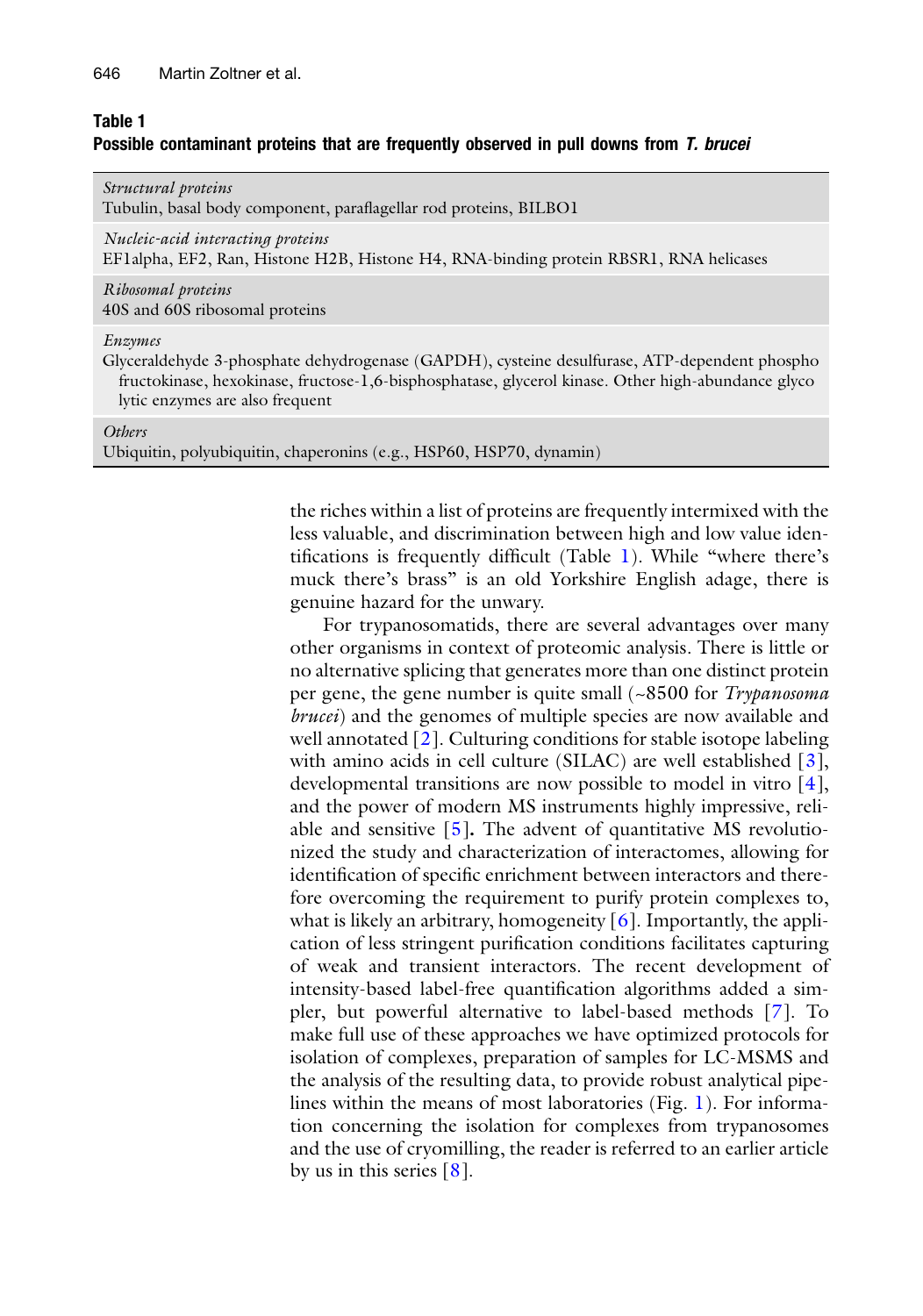#### <span id="page-1-0"></span>Table 1

#### Possible contaminant proteins that are frequently observed in pull downs from T. brucei

#### Structural proteins

Tubulin, basal body component, paraflagellar rod proteins, BILBO1

#### Nucleic-acid interacting proteins

EF1alpha, EF2, Ran, Histone H2B, Histone H4, RNA-binding protein RBSR1, RNA helicases

Ribosomal proteins 40S and 60S ribosomal proteins

#### Enzymes

Glyceraldehyde 3-phosphate dehydrogenase (GAPDH), cysteine desulfurase, ATP-dependent phospho fructokinase, hexokinase, fructose-1,6-bisphosphatase, glycerol kinase. Other high-abundance glyco lytic enzymes are also frequent

#### **Others**

Ubiquitin, polyubiquitin, chaperonins (e.g., HSP60, HSP70, dynamin)

the riches within a list of proteins are frequently intermixed with the less valuable, and discrimination between high and low value identifications is frequently difficult (Table [1\)](#page-1-0). While "where there's muck there's brass" is an old Yorkshire English adage, there is genuine hazard for the unwary.

For trypanosomatids, there are several advantages over many other organisms in context of proteomic analysis. There is little or no alternative splicing that generates more than one distinct protein per gene, the gene number is quite small (~8500 for Trypanosoma brucei) and the genomes of multiple species are now available and well annotated  $[2]$ . Culturing conditions for stable isotope labeling with amino acids in cell culture (SILAC) are well established [[3](#page-8-2)], developmental transitions are now possible to model in vitro [[4](#page-8-3)], and the power of modern MS instruments highly impressive, reliable and sensitive  $\lceil 5 \rceil$ . The advent of quantitative MS revolutionized the study and characterization of interactomes, allowing for identification of specific enrichment between interactors and therefore overcoming the requirement to purify protein complexes to, what is likely an arbitrary, homogeneity  $[6]$  $[6]$ . Importantly, the application of less stringent purification conditions facilitates capturing of weak and transient interactors. The recent development of intensity-based label-free quantification algorithms added a simpler, but powerful alternative to label-based methods [\[7](#page-8-6)]. To make full use of these approaches we have optimized protocols for isolation of complexes, preparation of samples for LC-MSMS and the analysis of the resulting data, to provide robust analytical pipelines within the means of most laboratories (Fig. [1\)](#page-2-0). For information concerning the isolation for complexes from trypanosomes and the use of cryomilling, the reader is referred to an earlier article by us in this series  $[8]$  $[8]$ .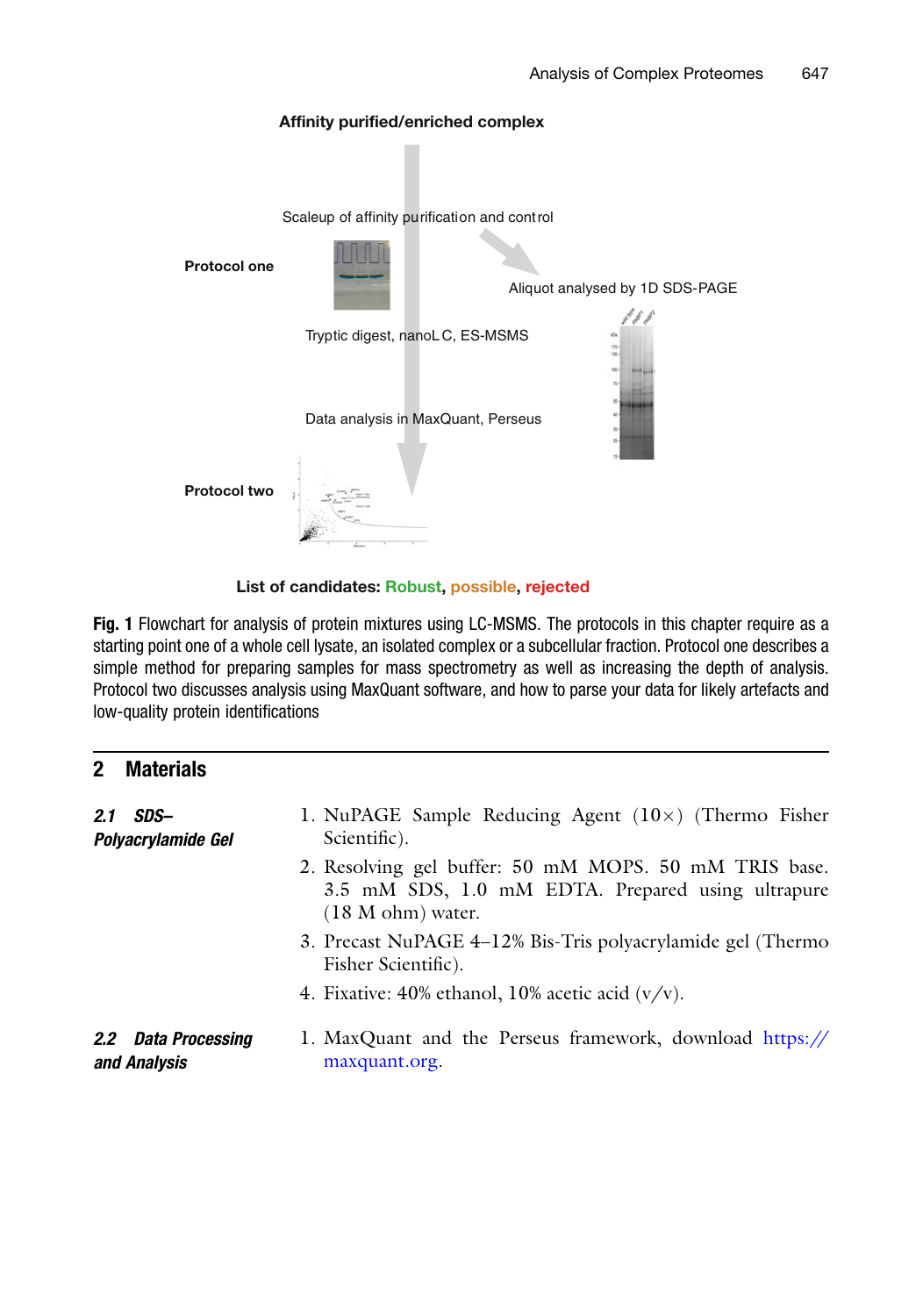<span id="page-2-0"></span>

#### **Affinity purified/enriched complex**

**List of candidates: Robust, possible, rejected**

Fig. 1 Flowchart for analysis of protein mixtures using LC-MSMS. The protocols in this chapter require as a starting point one of a whole cell lysate, an isolated complex or a subcellular fraction. Protocol one describes a simple method for preparing samples for mass spectrometry as well as increasing the depth of analysis. Protocol two discusses analysis using MaxQuant software, and how to parse your data for likely artefacts and low-quality protein identifications

# 2 Materials

| 2.1 SDS-<br>Polyacrylamide Gel      | 1. NuPAGE Sample Reducing Agent $(10\times)$ (Thermo Fisher<br>Scientific).                                                       |
|-------------------------------------|-----------------------------------------------------------------------------------------------------------------------------------|
|                                     | 2. Resolving gel buffer: 50 mM MOPS. 50 mM TRIS base.<br>3.5 mM SDS, 1.0 mM EDTA. Prepared using ultrapure<br>$(18 M ohm)$ water. |
|                                     | 3. Precast NuPAGE 4–12% Bis-Tris polyacrylamide gel (Thermo<br>Fisher Scientific).                                                |
|                                     | 4. Fixative: 40% ethanol, 10% acetic acid $(v/v)$ .                                                                               |
| 2.2 Data Processing<br>and Analysis | 1. MaxQuant and the Perseus framework, download https://<br>maxquant.org.                                                         |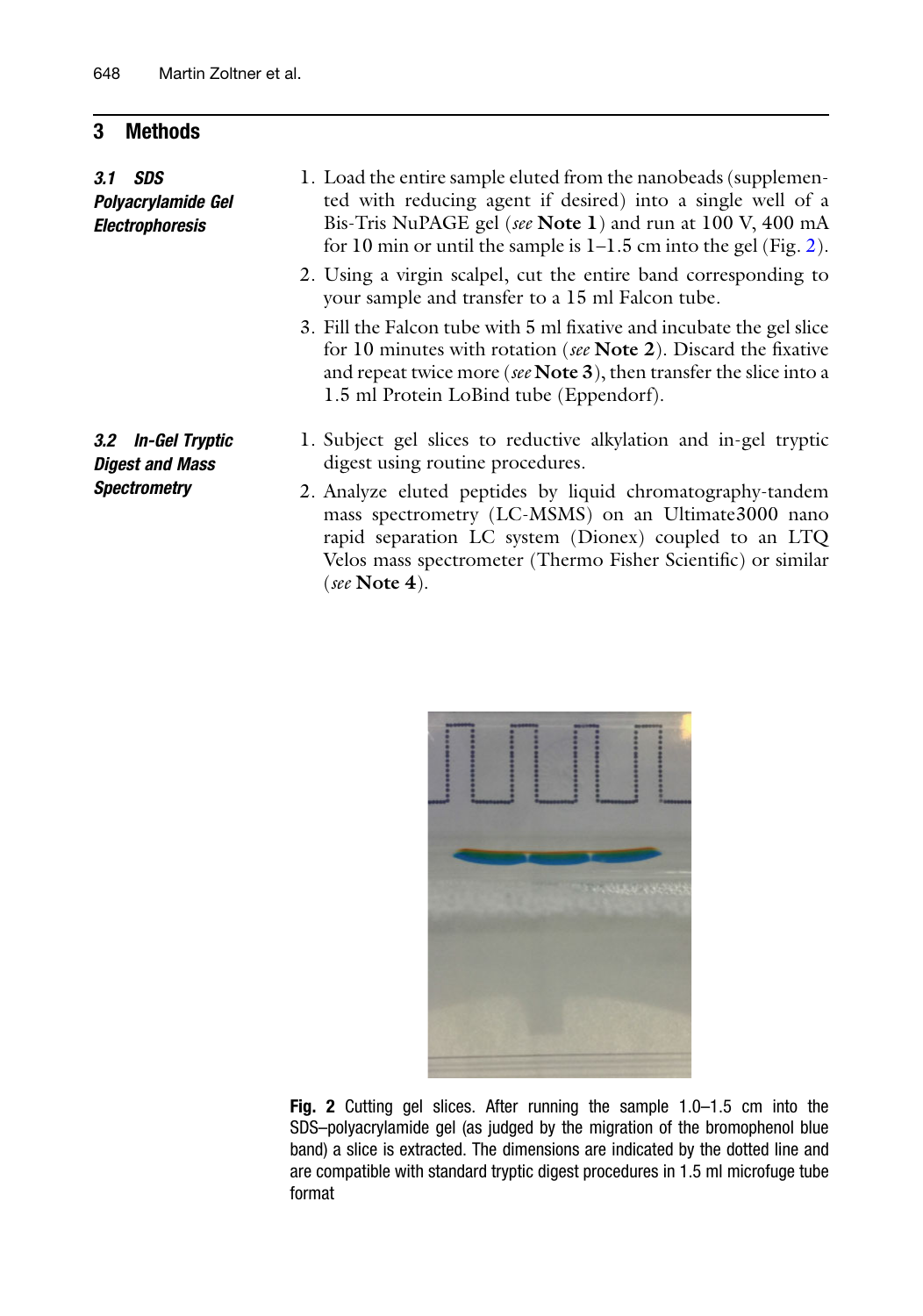# 3 Methods

3.1 SDS Polyacrylamide Gel Electrophoresis

- 1. Load the entire sample eluted from the nanobeads (supplemented with reducing agent if desired) into a single well of a Bis-Tris NuPAGE gel (see Note 1) and run at 100 V, 400 mA for 10 min or until the sample is  $1-1.5$  cm into the gel (Fig. [2\)](#page-3-0).
- 2. Using a virgin scalpel, cut the entire band corresponding to your sample and transfer to a 15 ml Falcon tube.
- 3. Fill the Falcon tube with 5 ml fixative and incubate the gel slice for 10 minutes with rotation (see Note 2). Discard the fixative and repeat twice more (see Note 3), then transfer the slice into a 1.5 ml Protein LoBind tube (Eppendorf).
- 1. Subject gel slices to reductive alkylation and in-gel tryptic digest using routine procedures.
- 2. Analyze eluted peptides by liquid chromatography-tandem mass spectrometry (LC-MSMS) on an Ultimate3000 nano rapid separation LC system (Dionex) coupled to an LTQ Velos mass spectrometer (Thermo Fisher Scientific) or similar (see Note 4).



Fig. 2 Cutting gel slices. After running the sample 1.0–1.5 cm into the SDS–polyacrylamide gel (as judged by the migration of the bromophenol blue band) a slice is extracted. The dimensions are indicated by the dotted line and are compatible with standard tryptic digest procedures in 1.5 ml microfuge tube format

<span id="page-3-0"></span>3.2 In-Gel Tryptic Digest and Mass **Spectrometry**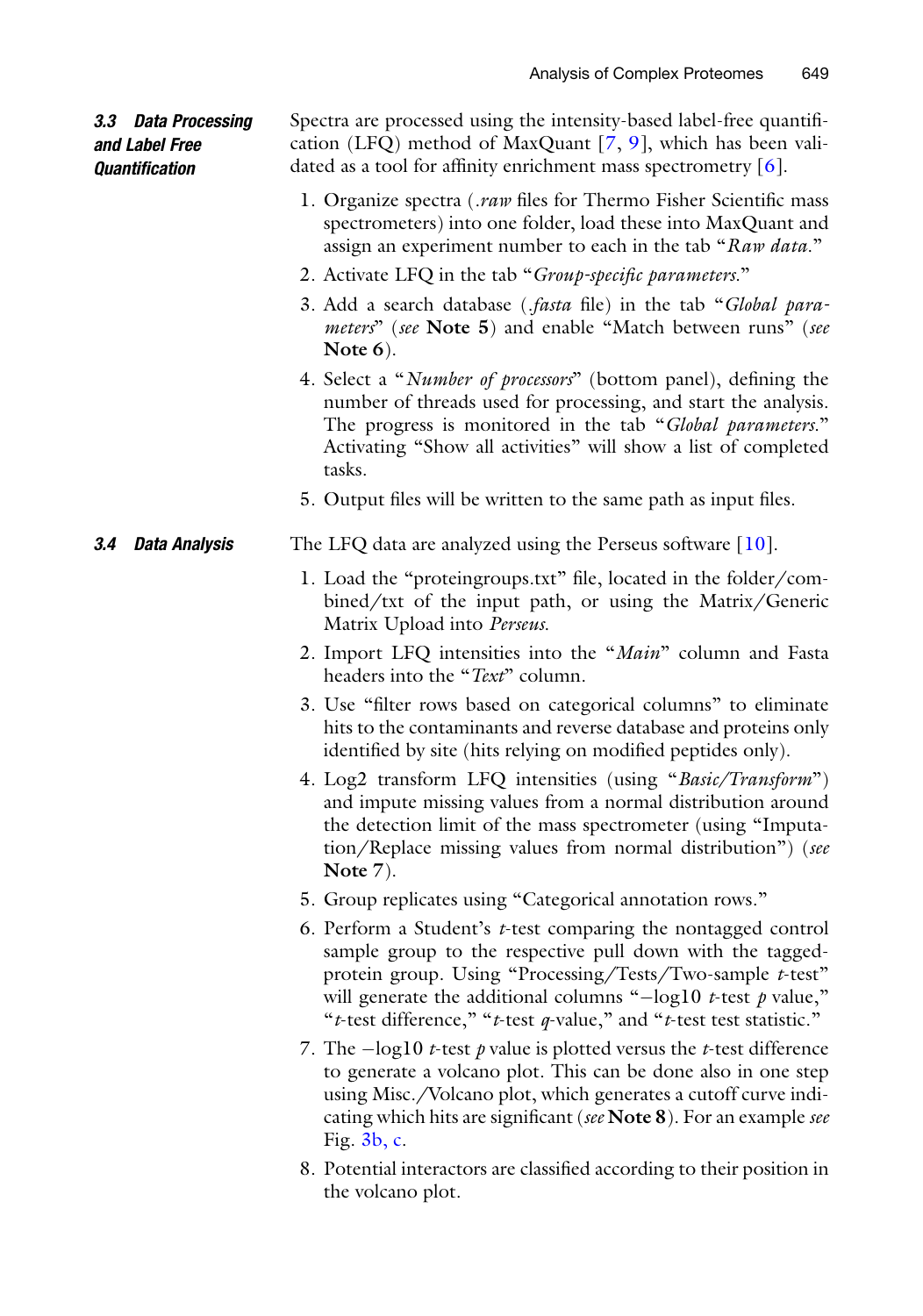# 3.3 Data Processing and Label Free **Quantification**

Spectra are processed using the intensity-based label-free quantification (LFQ) method of MaxQuant [\[7](#page-8-6), [9\]](#page-8-8), which has been validated as a tool for affinity enrichment mass spectrometry [\[6](#page-8-5)].

- 1. Organize spectra (.raw files for Thermo Fisher Scientific mass spectrometers) into one folder, load these into MaxQuant and assign an experiment number to each in the tab "Raw data."
- 2. Activate LFQ in the tab "Group-specific parameters."
- 3. Add a search database (*fasta* file) in the tab "Global parameters" (see Note 5) and enable "Match between runs" (see Note 6).
- 4. Select a "Number of processors" (bottom panel), defining the number of threads used for processing, and start the analysis. The progress is monitored in the tab "Global parameters." Activating "Show all activities" will show a list of completed tasks.
- 5. Output files will be written to the same path as input files.

# **3.4 Data Analysis** The LFQ data are analyzed using the Perseus software [\[10\]](#page-8-9).

- 1. Load the "proteingroups.txt" file, located in the folder/combined/txt of the input path, or using the Matrix/Generic Matrix Upload into Perseus.
- 2. Import LFQ intensities into the "Main" column and Fasta headers into the "Text" column.
- 3. Use "filter rows based on categorical columns" to eliminate hits to the contaminants and reverse database and proteins only identified by site (hits relying on modified peptides only).
- 4. Log2 transform LFQ intensities (using "Basic/Transform") and impute missing values from a normal distribution around the detection limit of the mass spectrometer (using "Imputation/Replace missing values from normal distribution") (see Note 7).
- 5. Group replicates using "Categorical annotation rows."
- 6. Perform a Student's t-test comparing the nontagged control sample group to the respective pull down with the taggedprotein group. Using "Processing/Tests/Two-sample t-test" will generate the additional columns " $-\log 10$  t-test p value," " $t$ -test difference," " $t$ -test  $q$ -value," and " $t$ -test test statistic."
- 7. The  $-\log 10$  *t*-test *p* value is plotted versus the *t*-test difference to generate a volcano plot. This can be done also in one step using Misc./Volcano plot, which generates a cutoff curve indicating which hits are significant (see Note 8). For an example see Fig. [3b, c.](#page-5-0)
- 8. Potential interactors are classified according to their position in the volcano plot.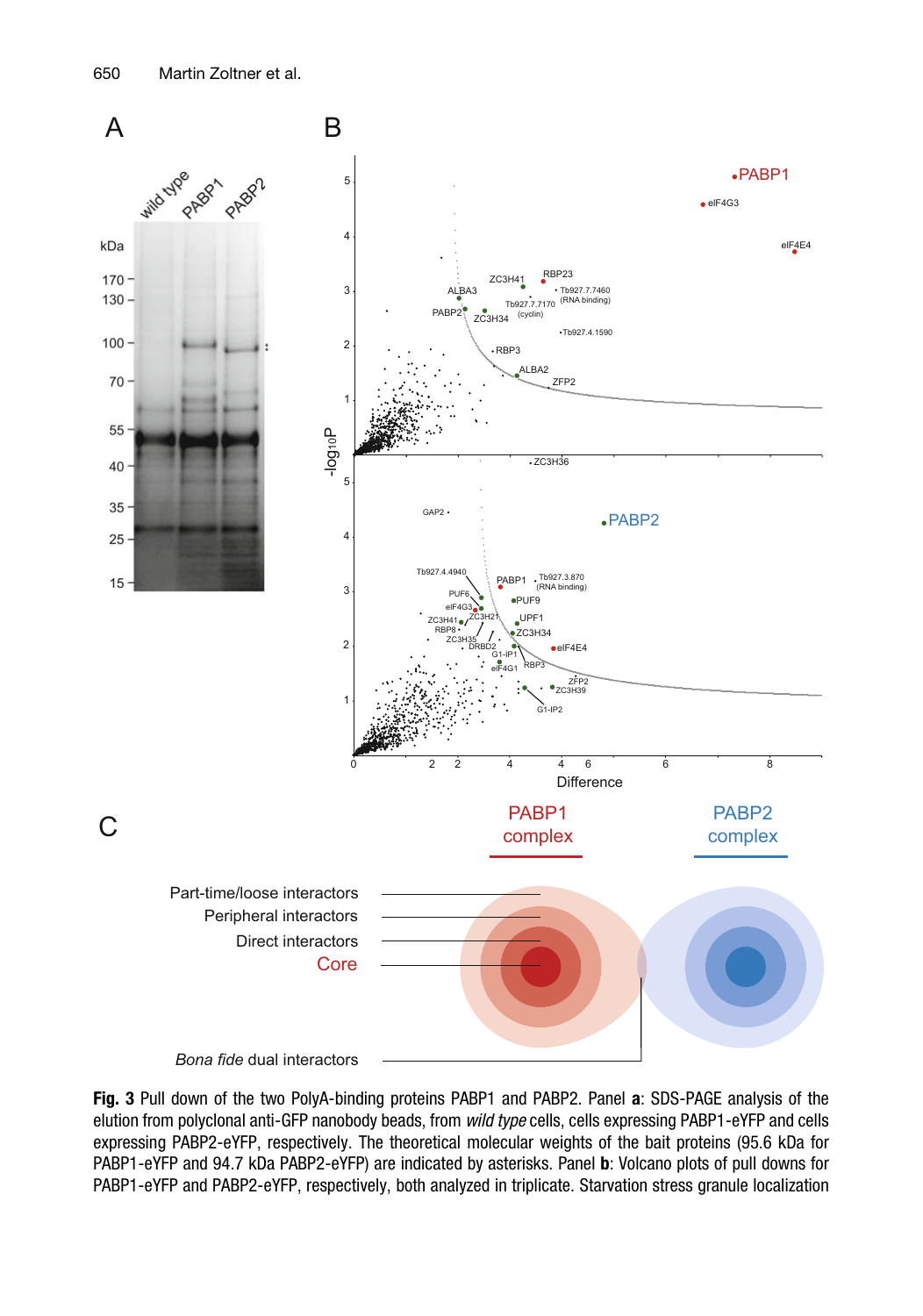<span id="page-5-0"></span>

Fig. 3 Pull down of the two PolyA-binding proteins PABP1 and PABP2. Panel a: SDS-PAGE analysis of the elution from polyclonal anti-GFP nanobody beads, from wild type cells, cells expressing PABP1-eYFP and cells expressing PABP2-eYFP, respectively. The theoretical molecular weights of the bait proteins (95.6 kDa for PABP1-eYFP and 94.7 kDa PABP2-eYFP) are indicated by asterisks. Panel b: Volcano plots of pull downs for PABP1-eYFP and PABP2-eYFP, respectively, both analyzed in triplicate. Starvation stress granule localization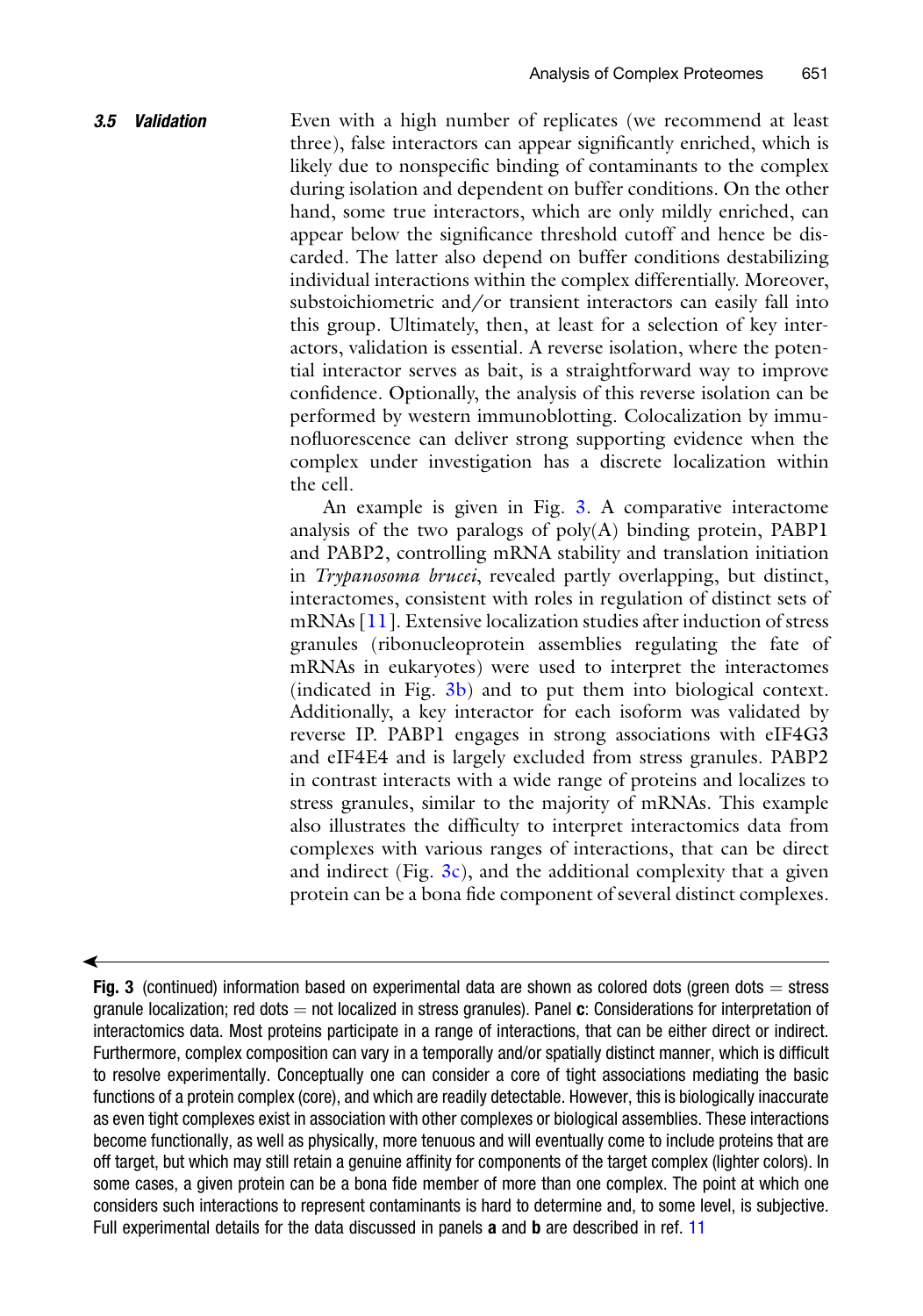**3.5 Validation** Even with a high number of replicates (we recommend at least three), false interactors can appear significantly enriched, which is likely due to nonspecific binding of contaminants to the complex during isolation and dependent on buffer conditions. On the other hand, some true interactors, which are only mildly enriched, can appear below the significance threshold cutoff and hence be discarded. The latter also depend on buffer conditions destabilizing individual interactions within the complex differentially. Moreover, substoichiometric and/or transient interactors can easily fall into this group. Ultimately, then, at least for a selection of key interactors, validation is essential. A reverse isolation, where the potential interactor serves as bait, is a straightforward way to improve confidence. Optionally, the analysis of this reverse isolation can be performed by western immunoblotting. Colocalization by immunofluorescence can deliver strong supporting evidence when the complex under investigation has a discrete localization within the cell.

> An example is given in Fig. [3.](#page-5-0) A comparative interactome analysis of the two paralogs of  $poly(A)$  binding protein, PABP1 and PABP2, controlling mRNA stability and translation initiation in Trypanosoma brucei, revealed partly overlapping, but distinct, interactomes, consistent with roles in regulation of distinct sets of mRNAs [[11](#page-8-10)]. Extensive localization studies after induction of stress granules (ribonucleoprotein assemblies regulating the fate of mRNAs in eukaryotes) were used to interpret the interactomes (indicated in Fig. [3b](#page-5-0)) and to put them into biological context. Additionally, a key interactor for each isoform was validated by reverse IP. PABP1 engages in strong associations with eIF4G3 and eIF4E4 and is largely excluded from stress granules. PABP2 in contrast interacts with a wide range of proteins and localizes to stress granules, similar to the majority of mRNAs. This example also illustrates the difficulty to interpret interactomics data from complexes with various ranges of interactions, that can be direct and indirect (Fig.  $3c$ ), and the additional complexity that a given protein can be a bona fide component of several distinct complexes.

◀

Fig. 3 (continued) information based on experimental data are shown as colored dots (green dots  $=$  stress granule localization; red dots  $=$  not localized in stress granules). Panel c: Considerations for interpretation of interactomics data. Most proteins participate in a range of interactions, that can be either direct or indirect. Furthermore, complex composition can vary in a temporally and/or spatially distinct manner, which is difficult to resolve experimentally. Conceptually one can consider a core of tight associations mediating the basic functions of a protein complex (core), and which are readily detectable. However, this is biologically inaccurate as even tight complexes exist in association with other complexes or biological assemblies. These interactions become functionally, as well as physically, more tenuous and will eventually come to include proteins that are off target, but which may still retain a genuine affinity for components of the target complex (lighter colors). In some cases, a given protein can be a bona fide member of more than one complex. The point at which one considers such interactions to represent contaminants is hard to determine and, to some level, is subjective. Full experimental details for the data discussed in panels a and b are described in ref. [11](#page-8-10)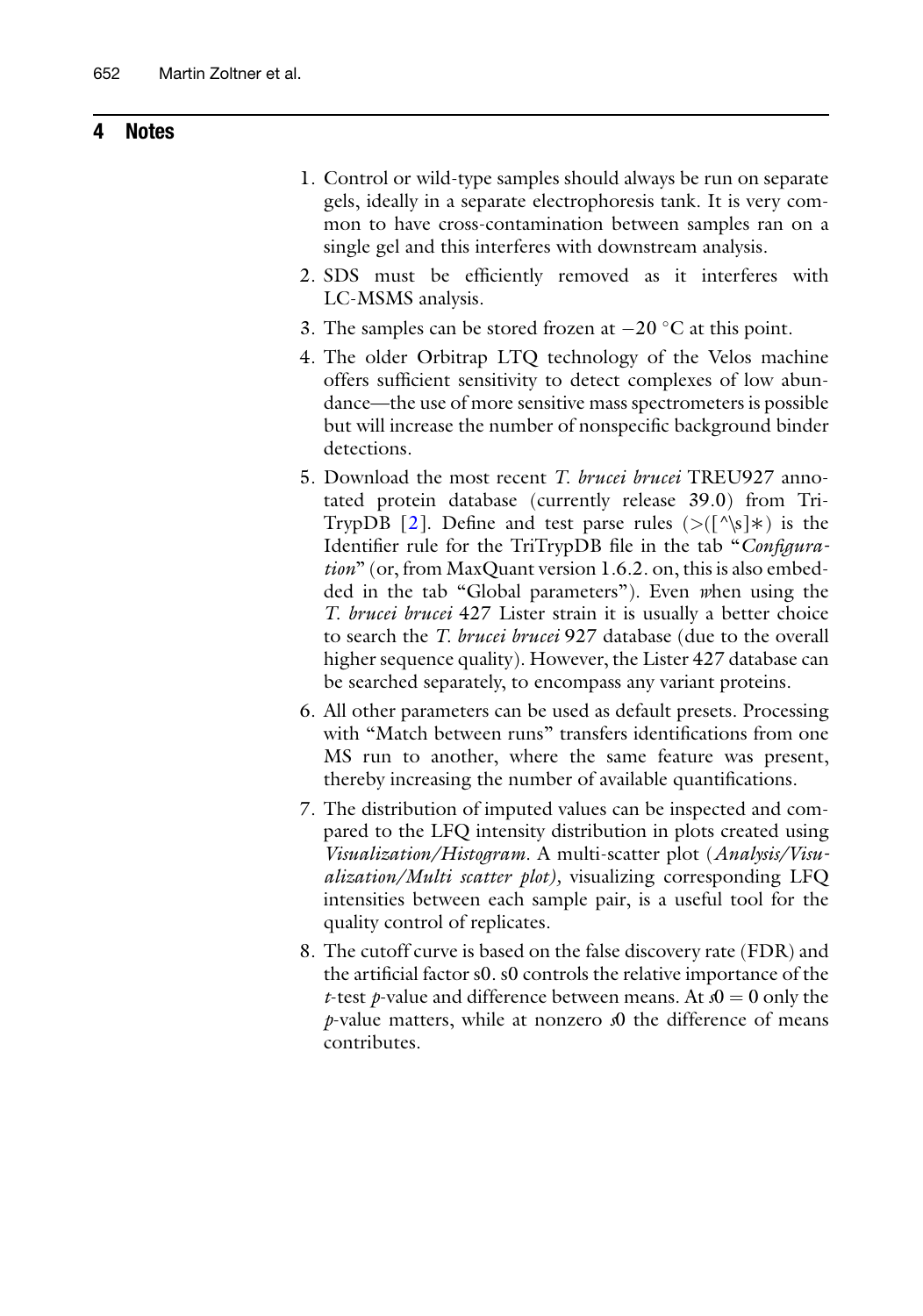### 4 Notes

- 1. Control or wild-type samples should always be run on separate gels, ideally in a separate electrophoresis tank. It is very common to have cross-contamination between samples ran on a single gel and this interferes with downstream analysis.
- 2. SDS must be efficiently removed as it interferes with LC-MSMS analysis.
- 3. The samples can be stored frozen at  $-20$  °C at this point.
- 4. The older Orbitrap LTQ technology of the Velos machine offers sufficient sensitivity to detect complexes of low abundance—the use of more sensitive mass spectrometers is possible but will increase the number of nonspecific background binder detections.
- 5. Download the most recent T. brucei brucei TREU927 annotated protein database (currently release 39.0) from Tri-TrypDB [\[2](#page-8-1)]. Define and test parse rules (>( $\lceil \frac{\land}{s} \rceil *$ ) is the Identifier rule for the TriTrypDB file in the tab "Configuration" (or, from MaxQuant version 1.6.2. on, this is also embedded in the tab "Global parameters"). Even when using the T. brucei brucei 427 Lister strain it is usually a better choice to search the T. brucei brucei 927 database (due to the overall higher sequence quality). However, the Lister 427 database can be searched separately, to encompass any variant proteins.
- 6. All other parameters can be used as default presets. Processing with "Match between runs" transfers identifications from one MS run to another, where the same feature was present, thereby increasing the number of available quantifications.
- 7. The distribution of imputed values can be inspected and compared to the LFQ intensity distribution in plots created using Visualization/Histogram. A multi-scatter plot (Analysis/Visualization/Multi scatter plot), visualizing corresponding LFQ intensities between each sample pair, is a useful tool for the quality control of replicates.
- 8. The cutoff curve is based on the false discovery rate (FDR) and the artificial factor s0. s0 controls the relative importance of the *t*-test *p*-value and difference between means. At  $\phi = 0$  only the  $p$ -value matters, while at nonzero  $\Omega$  the difference of means contributes.